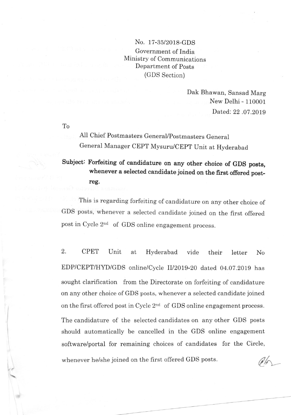## No. 17-35/2018-cDS Government of India Ministry of Communications Department of Posts (GDS Section)

Dak Bhawan, Sansad Marg New Delhi - 110001 Dated: 22 .07.2019

To

All Chief Postmasters General/postmasters General General Manager CEPT Mysuru/CEpT Unit at Hvderabad

Subject: Forfeiting of candidature on any other choice of GDS posts, whenever a selected candidate joined on the first offered postreg.

This is regarding forfeiting of candidature on any other choice of GDS posts, whenever a selected candidate joined on the first offered post in Cycle 2<sup>nd</sup> of GDS online engagement process.

whenever he/she joined on the first offered GDS posts. 2. CPET Unit at Hyderabad vide their letter No EDP/CEPT/HYD/GDS online/Cycle II/2019-20 dated 04.07.2019 has sought clarification from the Directorate on forfeiting of candidature on any other choice of GDS posts, whenever a selected candidate joined on the first offered post in Cycle  $2<sup>nd</sup>$  of GDS online engagement process. The candidature of the seiected candidates on any other GDS posts should automatically be cancelled in the GDS online engagement software/portal for remaining choices of candidates for the Circle,